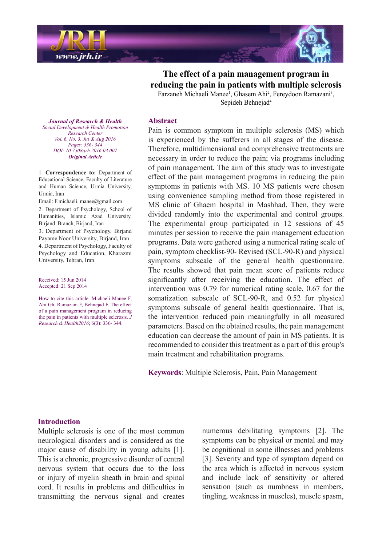

The effect of a pain management program in reducing the pain in patients with multiple sclerosis Farzaneh Michaeli Manee<sup>1</sup>, Ghasem Ahi<sup>2</sup>, Fereydoon Ramazani<sup>3</sup>, Sepideh Behnejad<sup>4</sup>

**Journal of Research & Health**  *Promotion Health & Development Social Center Research Vol. 6, No. 3, Jul & Aug 2016* Pages: 336- 344 *DOI*: 10.7508/jrh.2016.03.007 *Article Original*

1. Correspondence to: Department of Educational Science, Faculty of Literature and Human Science, Urmia University, Urmia, Iran

Email: F.michaeli. manee@gmail.com

2. Department of Psychology, School of Humanities, Islamic Azad University, Birjand Branch, Birjand, Iran

3. Department of Psychology, Birjand Payame Noor University, Birjand, Iran 4. Department of Psychology, Faculty of Psychology and Education, Kharazmi University, Tehran, Iran

Received: 15 Jun 2014 Accepted: 21 Sep 2014

How to cite this article: Michaeli Manee F, Ahi Gh, Ramazani F, Behnejad F. The effect of a pain management program in reducing the pain in patients with multiple sclerosis.  $J$ Research & Health 2016; 6(3): 336- 344.

#### **Abstract**

Pain is common symptom in multiple sclerosis (MS) which is experienced by the sufferers in all stages of the disease. Therefore, multidimensional and comprehensive treatments are necessary in order to reduce the pain; via programs including of pain management. The aim of this study was to investigate effect of the pain management programs in reducing the pain symptoms in patients with MS. 10 MS patients were chosen using convenience sampling method from those registered in MS clinic of Ghaem hospital in Mashhad. Then, they were divided randomly into the experimental and control groups. The experimental group participated in  $12$  sessions of  $45$ minutes per session to receive the pain management education programs. Data were gathered using a numerical rating scale of pain, symptom checklist-90-Revised (SCL-90-R) and physical symptoms subscale of the general health questionnaire. The results showed that pain mean score of patients reduce significantly after receiving the education. The effect of intervention was  $0.79$  for numerical rating scale,  $0.67$  for the somatization subscale of SCL-90-R, and  $0.52$  for physical symptoms subscale of general health questionnaire. That is, the intervention reduced pain meaningfully in all measured parameters. Based on the obtained results, the pain management education can decrease the amount of pain in MS patients. It is recommended to consider this treatment as a part of this group's main treatment and rehabilitation programs.

**Keywords:** Multiple Sclerosis, Pain, Pain Management

#### **Introduction**

Multiple sclerosis is one of the most common neurological disorders and is considered as the major cause of disability in young adults  $[1]$ . This is a chronic, progressive disorder of central nervous system that occurs due to the loss or injury of myelin sheath in brain and spinal cord. It results in problems and difficulties in transmitting the nervous signal and creates

numerous debilitating symptoms [2]. The symptoms can be physical or mental and may be cognitional in some illnesses and problems [3]. Severity and type of symptom depend on the area which is affected in nervous system and include lack of sensitivity or altered sensation (such as numbness in members, tingling, weakness in muscles), muscle spasm,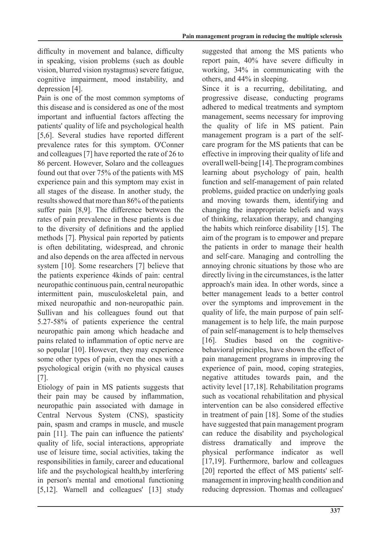difficulty in movement and balance, difficulty in speaking, vision problems (such as double vision, blurred vision nystagmus) severe fatigue, cognitive impairment, mood instability, and depression [4].

Pain is one of the most common symptoms of this disease and is considered as one of the most important and influential factors affecting the patients' quality of life and psychological health  $[5,6]$ . Several studies have reported different prevalence rates for this symptom. O'Conner and colleagues [7] have reported the rate of 26 to 86 percent. However, Solaro and the colleagues found out that over 75% of the patients with MS experience pain and this symptom may exist in all stages of the disease. In another study, the results showed that more than 86% of the patients suffer pain [8,9]. The difference between the rates of pain prevalence in these patients is due to the diversity of definitions and the applied methods [7]. Physical pain reported by patients is often debilitating, widespread, and chronic and also depends on the area affected in nervous system [10]. Some researchers [7] believe that the patients experience 4 kinds of pain: central neuropathic continuous pain, central neuropathic intermittent pain, musculoskeletal pain, and mixed neuropathic and non-neuropathic pain. Sullivan and his colleagues found out that  $5.27-58\%$  of patients experience the central neuropathic pain among which headache and pains related to inflammation of optic nerve are so popular  $[10]$ . However, they may experience some other types of pain, even the ones with a psychological origin (with no physical causes  $[7]$ .

Etiology of pain in MS patients suggests that their pain may be caused by inflammation, neuropathic pain associated with damage in Central Nervous System (CNS), spasticity pain, spasm and cramps in muscle, and muscle pain [11]. The pain can influence the patients' quality of life, social interactions, appropriate use of leisure time, social activities, taking the responsibilities in family, career and educational life and the psychological health, by interfering in person's mental and emotional functioning [5,12]. Warnell and colleagues'  $[13]$  study suggested that among the MS patients who report pain, 40% have severe difficulty in working,  $34\%$  in communicating with the others, and  $44\%$  in sleeping.

Since it is a recurring, debilitating, and progressive disease, conducting programs adhered to medical treatments and symptom management, seems necessary for improving the quality of life in MS patient. Pain care program for the MS patients that can be management program is a part of the selfeffective in improving their quality of life and overall well-being  $[14]$ . The program combines learning about psychology of pain, health function and self-management of pain related problems, guided practice on underlying goals and moving towards them, identifying and changing the inappropriate beliefs and ways of thinking, relaxation therapy, and changing the habits which reinforce disability  $[15]$ . The aim of the program is to empower and prepare the patients in order to manage their health and self-care. Managing and controlling the annoying chronic situations by those who are directly living in the circumstances, is the latter approach's main idea. In other words, since a better management leads to a better control over the symptoms and improvement in the management is to help life, the main purpose quality of life, the main purpose of pain selfof pain self-management is to help themselves [16]. Studies based on the cognitive-<br>behavioral principles, have shown the effect of Studies based on the cognitivepain management programs in improving the experience of pain, mood, coping strategies, negative attitudes towards pain, and the activity level  $[17,18]$ . Rehabilitation programs such as vocational rehabilitation and physical intervention can be also considered effective in treatment of pain  $[18]$ . Some of the studies have suggested that pain management program can reduce the disability and psychological distress dramatically and improve the physical performance indicator as well [17,19]. Furthermore, barlow and colleagues management in improving health condition and [20] reported the effect of MS patients' selfreducing depression. Thomas and colleagues'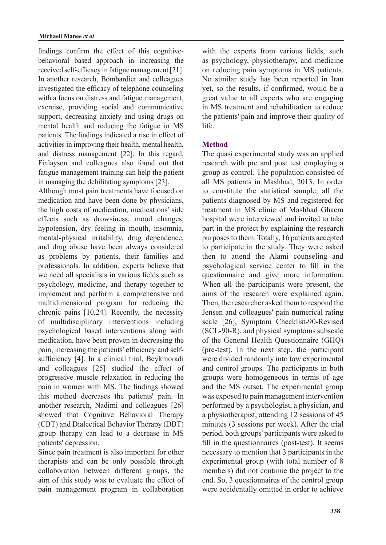behavioral based approach in increasing the findings confirm the effect of this cognitivereceived self-efficacy in fatigue management  $[21]$ . In another research, Bombardier and colleagues investigated the efficacy of telephone counseling with a focus on distress and fatigue management, exercise, providing social and communicative support, decreasing anxiety and using drugs on mental health and reducing the fatigue in MS patients. The findings indicated a rise in effect of activities in improving their health, mental health, and distress management [22]. In this regard, Finlayson and colleagues also found out that fatigue management training can help the patient in managing the debilitating symptoms  $[23]$ .

Although most pain treatments have focused on medication and have been done by physicians, the high costs of medication, medications' side effects such as drowsiness, mood changes, hypotension, dry feeling in mouth, insomnia, mental-physical irritability, drug dependence, and drug abuse have been always considered as problems by patients, their families and professionals. In addition, experts believe that we need all specialists in various fields such as psychology, medicine, and therapy together to implement and perform a comprehensive and multidimensional program for reducing the chronic pains  $[10,24]$ . Recently, the necessity of multidisciplinary interventions including psychological based interventions along with medication, have been proven in decreasing the sufficiency [4]. In a clinical trial, Beykmoradi pain, increasing the patients' efficiency and selfand colleagues  $[25]$  studied the effect of progressive muscle relaxation in reducing the pain in women with MS. The findings showed this method decreases the patients' pain. In another research, Nadimi and colleagues [26] showed that Cognitive Behavioral Therapy (CBT) and Dialectical Behavior Therapy (DBT) group therapy can lead to a decrease in MS patients' depression.

Since pain treatment is also important for other therapists and can be only possible through collaboration between different groups, the aim of this study was to evaluate the effect of pain management program in collaboration with the experts from various fields, such as psychology, physiotherapy, and medicine on reducing pain symptoms in MS patients. No similar study has been reported in Iran yet, so the results, if confirmed, would be a great value to all experts who are engaging in MS treatment and rehabilitation to reduce the patients' pain and improve their quality of .life

# **Method**

The quasi experimental study was an applied research with pre and post test employing a group as control. The population consisted of all MS patients in Mashhad, 2013. In order to constitute the statistical sample, all the patients diagnosed by MS and registered for treatment in MS clinic of Mashhad Ghaem hospital were interviewed and invited to take part in the project by explaining the research purposes to them. Totally, 16 patients accepted to participate in the study. They were asked then to attend the Alami counseling and psychological service center to fill in the questionnaire and give more information. When all the participants were present, the aims of the research were explained again. Then, the researcher asked them to respond the Jensen and colleagues' pain numerical rating scale [26], Symptom Checklist-90-Revised  $(SCL-90-R)$ , and physical symptoms subscale of the General Health Questionnaire (GHQ)  $pre-test$ ). In the next step, the participant were divided randomly into tow experimental and control groups. The participants in both groups were homogeneous in terms of age and the MS outset. The experimental group was exposed to pain management intervention performed by a psychologist, a physician, and a physiotherapist, attending  $12$  sessions of  $45$ minutes  $(3$  sessions per week). After the trial period, both groups' participants were asked to fill in the questionnaires (post-test). It seems necessary to mention that 3 participants in the experimental group (with total number of 8 members) did not continue the project to the end. So, 3 questionnaires of the control group were accidentally omitted in order to achieve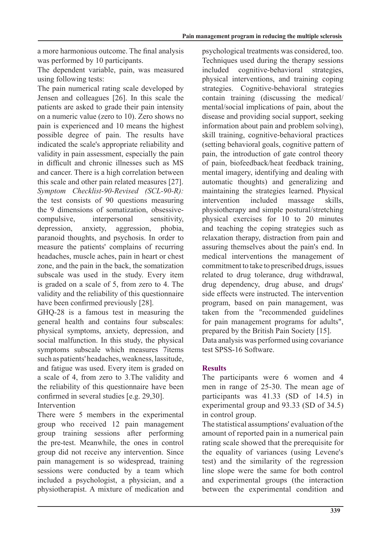a more harmonious outcome. The final analysis was performed by 10 participants.

The dependent variable, pain, was measured using following tests:

The pain numerical rating scale developed by Jensen and colleagues [26]. In this scale the patients are asked to grade their pain intensity on a numeric value (zero to  $10$ ). Zero shows no pain is experienced and 10 means the highest possible degree of pain. The results have indicated the scale's appropriate reliability and validity in pain assessment, especially the pain in difficult and chronic illnesses such as MS and cancer. There is a high correlation between this scale and other pain related measures  $[27]$ . *Symptom Checklist-90-Revised (SCL-90-R):* the test consists of 90 questions measuring the 9 dimensions of somatization, obsessive-<br>compulsive, interpersonal sensitivity, depression, anxiety, aggression, phobia, paranoid thoughts, and psychosis. In order to measure the patients' complains of recurring headaches, muscle aches, pain in heart or chest zone, and the pain in the back, the somatization subscale was used in the study. Every item is graded on a scale of 5, from zero to 4. The validity and the reliability of this questionnaire have been confirmed previously [28].

 $GHQ-28$  is a famous test in measuring the general health and contains four subscales: physical symptoms, anxiety, depression, and social malfunction. In this study, the physical symptoms subscale which measures 7items such as patients' headaches, weakness, lassitude, and fatigue was used. Every item is graded on a scale of 4, from zero to 3. The validity and the reliability of this questionnaire have been confirmed in several studies  $[e.g. 29,30]$ . **Intervention** 

There were 5 members in the experimental group who received 12 pain management group training sessions after performing the pre-test. Meanwhile, the ones in control group did not receive any intervention. Since pain management is so widespread, training sessions were conducted by a team which included a psychologist, a physician, and a physiotherapist. A mixture of medication and psychological treatments was considered, too. Techniques used during the therapy sessions included cognitive-behavioral strategies, physical interventions, and training coping strategies. Cognitive-behavioral strategies  $\alpha$  contain training (discussing the medical/ mental/social implications of pain, about the disease and providing social support, seeking information about pain and problem solving), skill training, cognitive-behavioral practices (setting behavioral goals, cognitive pattern of pain, the introduction of gate control theory of pain, biofeedback/heat feedback training, mental imagery, identifying and dealing with automatic thoughts) and generalizing and maintaining the strategies learned. Physical intervention included massage skills, physiotherapy and simple postural/stretching physical exercises for 10 to 20 minutes and teaching the coping strategies such as relaxation therapy, distraction from pain and assuring themselves about the pain's end. In medical interventions the management of commitment to take to prescribed drugs, issues related to drug tolerance, drug withdrawal, drug dependency, drug abuse, and drugs' side effects were instructed. The intervention program, based on pain management, was taken from the "recommended guidelines for pain management programs for adults". prepared by the British Pain Society  $[15]$ . Data analysis was performed using covariance test SPSS-16 Software

# **Results**

The participants were 6 women and 4 men in range of 25-30. The mean age of participants was  $41.33$  (SD of 14.5) in experimental group and  $93.33$  (SD of  $34.5$ ) in control group.

The statistical assumptions' evaluation of the a mount of reported pain in a numerical pain rating scale showed that the prerequisite for the equality of variances (using Levene's test) and the similarity of the regression line slope were the same for both control and experimental groups (the interaction between the experimental condition and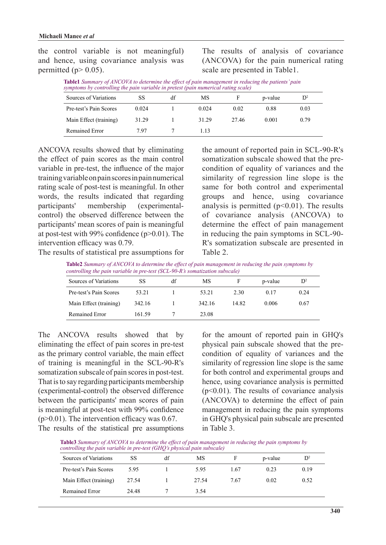the control variable is not meaningful) and hence, using covariance analysis was permitted ( $p > 0.05$ ).

The results of analysis of covariance  $(ANCOVA)$  for the pain numerical rating scale are presented in Table 1.

| <b>Table1</b> Summary of ANCOVA to determine the effect of pain management in reducing the patients' pain<br>symptoms by controlling the pain variable in pretest (pain numerical rating scale) |    |    |         |  |
|-------------------------------------------------------------------------------------------------------------------------------------------------------------------------------------------------|----|----|---------|--|
| Sources of Variations                                                                                                                                                                           | SS | МS | p-value |  |

| Sources of Variations  | SS    | df | MS    |       | p-value | $\mathsf{D}^2$ |
|------------------------|-------|----|-------|-------|---------|----------------|
| Pre-test's Pain Scores | 0.024 |    | 0.024 | 0.02  | 0.88    | 0.03           |
| Main Effect (training) | 31.29 |    | 31.29 | 27.46 | 0.001   | 0.79           |
| Remained Error         | 797   |    | 113   |       |         |                |

ANCOVA results showed that by eliminating the effect of pain scores as the main control variable in pre-test, the influence of the major training variable on pain scores in pain numerical rating scale of post-test is meaningful. In other words, the results indicated that regarding participants' membership (experimental-<br>control) the observed difference between the (experimentalparticipants' mean scores of pain is meaningful at post-test with 99% confidence  $(p>0.01)$ . The intervention efficacy was 0.79. The results of statistical pre assumptions for the amount of reported pain in SCL-90-R's condition of equality of variances and the somatization subscale showed that the presimilarity of regression line slope is the same for both control and experimental groups and hence, using covariance analysis is permitted  $(p<0.01)$ . The results of covariance analysis (ANCOVA) to determine the effect of pain management in reducing the pain symptoms in SCL-90-R's somatization subscale are presented in 2. Table

Table2 Summary of ANCOVA to determine the effect of pain management in reducing the pain symptoms by *controlling the pain variable in pre-test (SCL-90-R's somatization subscale)* 

| Sources of Variations  | SS     | df | МS     |       | p-value | $\mathbb{D}^2$ |
|------------------------|--------|----|--------|-------|---------|----------------|
| Pre-test's Pain Scores | 53.21  |    | 53.21  | 2.30  | 0.17    | 0.24           |
| Main Effect (training) | 342.16 |    | 342.16 | 14.82 | 0.006   | 0.67           |
| Remained Error         | 161.59 |    | 23.08  |       |         |                |

The ANCOVA results showed that by eliminating the effect of pain scores in pre-test as the primary control variable, the main effect of training is meaningful in the SCL-90-R's somatization subscale of pain scores in post-test. That is to say regarding participants membership (experimental-control) the observed difference between the participants' mean scores of pain is meaningful at post-test with 99% confidence  $(p>0.01)$ . The intervention efficacy was 0.67. The results of the statistical pre assumptions

for the amount of reported pain in GHQ's condition of equality of variances and the physical pain subscale showed that the presimilarity of regression line slope is the same for both control and experimental groups and hence, using covariance analysis is permitted  $(p<0.01)$ . The results of covariance analysis  $(ANCOVA)$  to determine the effect of pain management in reducing the pain symptoms in GHQ's physical pain subscale are presented in Table 3.

**Table3** Summary of ANCOVA to determine the effect of pain management in reducing the pain symptoms by *controlling the pain variable in pre-test (GHQ's physical pain subscale)* 

| Sources of Variations  | <b>SS</b> | df | MS    |      | p-value | $\mathsf{D}^2$ |
|------------------------|-----------|----|-------|------|---------|----------------|
| Pre-test's Pain Scores | 5.95      |    | 5.95  | 1.67 | 0.23    | 0.19           |
| Main Effect (training) | 27.54     |    | 27.54 | 7.67 | 0.02    | 0.52           |
| Remained Error         | 24.48     |    | 3.54  |      |         |                |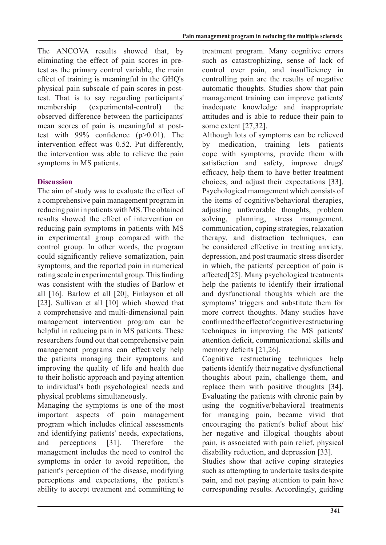The ANCOVA results showed that, by test as the primary control variable, the main eliminating the effect of pain scores in preeffect of training is meaningful in the GHQ's test. That is to say regarding participants' physical pain subscale of pain scores in postmembership (experimental-control) the observed difference between the particinants' test with  $99\%$  confidence ( $p > 0.01$ ). The mean scores of pain is meaningful at postintervention effect was 0.52. Put differently, the intervention was able to relieve the pain symptoms in MS patients.

# **Discussion**

The aim of study was to evaluate the effect of a comprehensive pain management program in reducing pain in patients with MS. The obtained results showed the effect of intervention on reducing pain symptoms in patients with MS in experimental group compared with the control group. In other words, the program could significantly relieve somatization, pain symptoms, and the reported pain in numerical rating scale in experimental group. This finding was consistent with the studies of Barlow et all  $[16]$ . Barlow et all  $[20]$ , Finlayson et all [23]. Sullivan et all [10] which showed that a comprehensive and multi-dimensional pain management intervention program can be helpful in reducing pain in MS patients. These researchers found out that comprehensive pain management programs can effectively help the patients managing their symptoms and improving the quality of life and health due to their holistic approach and paying attention to individual's both psychological needs and physical problems simultaneously.

Managing the symptoms is one of the most important aspects of pain management program which includes clinical assessments and identifying patients' needs, expectations, and perceptions [31]. Therefore the management includes the need to control the symptoms in order to avoid repetition, the patient's perception of the disease, modifying perceptions and expectations, the patient's ability to accept treatment and committing to treatment program. Many cognitive errors such as catastrophizing, sense of lack of control over pain, and insufficiency in controlling pain are the results of negative automatic thoughts. Studies show that pain management training can improve patients' inadequate knowledge and inappropriate attitudes and is able to reduce their pain to some extent  $[27,32]$ .

Although lots of symptoms can be relieved by medication, training lets patients cope with symptoms, provide them with satisfaction and safety, improve drugs' efficacy, help them to have better treatment choices, and adjust their expectations [33]. Psychological management which consists of the items of cognitive/behavioral therapies, adjusting unfavorable thoughts, problem solving, planning, stress management, communication, coping strategies, relaxation therapy, and distraction techniques, can be considered effective in treating anxiety, depression, and post traumatic stress disorder in which, the patients' perception of pain is affected $[25]$ . Many psychological treatments help the patients to identify their irrational and dysfunctional thoughts which are the symptoms' triggers and substitute them for more correct thoughts. Many studies have confirmed the effect of cognitive restructuring techniques in improving the MS patients' attention deficit, communicational skills and memory deficits  $[21,26]$ .

Cognitive restructuring techniques help patients identify their negative dysfunctional thoughts about pain, challenge them, and replace them with positive thoughts [34]. Evaluating the patients with chronic pain by using the cognitive/behavioral treatments for managing pain, became vivid that encouraging the patient's belief about his/ her negative and illogical thoughts about pain, is associated with pain relief, physical disability reduction, and depression [33].

Studies show that active coping strategies such as attempting to undertake tasks despite pain, and not paying attention to pain have corresponding results. Accordingly, guiding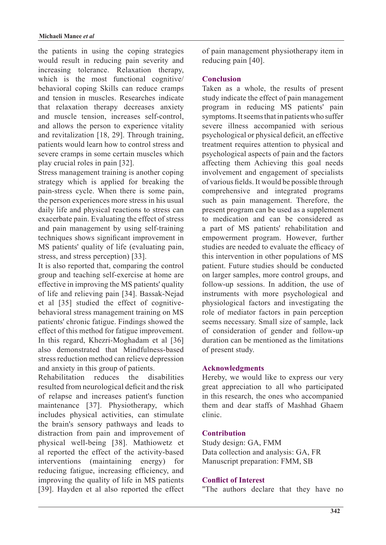the patients in using the coping strategies would result in reducing pain severity and increasing tolerance. Relaxation therapy, which is the most functional cognitive behavioral coping Skills can reduce cramps and tension in muscles. Researches indicate that relaxation therapy decreases anxiety and muscle tension, increases self-control, and allows the person to experience vitality and revitalization  $[18, 29]$ . Through training, patients would learn how to control stress and severe cramps in some certain muscles which play crucial roles in pain [32].

Stress management training is another coping strategy which is applied for breaking the pain-stress cycle. When there is some pain, the person experiences more stress in his usual daily life and physical reactions to stress can exacerbate pain. Evaluating the effect of stress and pain management by using self-training techniques shows significant improvement in MS patients' quality of life (evaluating pain, stress, and stress perception [33].

It is also reported that, comparing the control group and teaching self-exercise at home are effective in improving the MS patients' quality of life and relieving pain [34]. Bassak-Nejad behavioral stress management training on MS et al [35] studied the effect of cognitivepatients' chronic fatigue. Findings showed the effect of this method for fatigue improvement. In this regard, Khezri-Moghadam et al [36] also demonstrated that Mindfulness-based stress reduction method can relieve depression and anxiety in this group of patients.

Rehabilitation reduces the disabilities resulted from neurological deficit and the risk of relapse and increases patient's function maintenance [37]. Physiotherapy, which includes physical activities, can stimulate the brain's sensory pathways and leads to distraction from pain and improvement of physical well-being [38]. Mathiowetz et al reported the effect of the activity-based interventions (maintaining energy) for reducing fatigue, increasing efficiency, and improving the quality of life in MS patients [39]. Hayden et al also reported the effect of pain management physiotherapy item in reducing pain [40].

# **Conclusion**

Taken as a whole, the results of present study indicate the effect of pain management program in reducing MS patients' pain symptoms. It seems that in patients who suffer severe illness accompanied with serious psychological or physical deficit, an effective treatment requires attention to physical and psychological aspects of pain and the factors affecting them Achieving this goal needs involvement and engagement of specialists of various fields. It would be possible through comprehensive and integrated programs such as pain management. Therefore, the present program can be used as a supplement to medication and can be considered as a part of MS patients' rehabilitation and empowerment program. However, further studies are needed to evaluate the efficacy of this intervention in other populations of MS patient. Future studies should be conducted on larger samples, more control groups, and follow-up sessions. In addition, the use of instruments with more psychological and physiological factors and investigating the role of mediator factors in pain perception seems necessary. Small size of sample, lack of consideration of gender and follow-up duration can be mentioned as the limitations of present study.

### **Acknowledgments**

Hereby, we would like to express our very great appreciation to all who participated in this research, the ones who accompanied them and dear staffs of Mashhad Ghaem .clinic

### **Contribution**

Study design: GA, FMM Data collection and analysis: GA, FR Manuscript preparation: FMM, SB

### **Conflict of Interest**

"The authors declare that they have no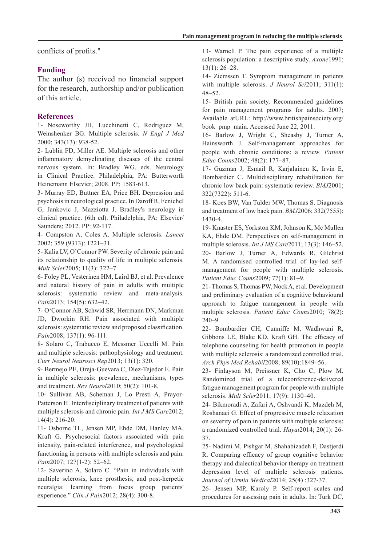conflicts of profits."

# **Funding**

The author (s) received no financial support for the research, authorship and/or publication of this article.

# **References**

1- Noseworthy JH, Lucchinetti C, Rodriguez M, Weinshenker BG. Multiple sclerosis. N Engl J Med 2000; 343(13): 938-52.

2- Lublin FD, Miller AE. Multiple sclerosis and other inflammatory demyelinating diseases of the central nervous system. In: Bradley WG, eds. Neurology in Clinical Practice. Philadelphia, PA: Butterworth Heinemann Elsevier; 2008. PP: 1583-613.

3- Murray ED, Buttner EA, Price BH. Depression and psychosis in neurological practice. In Daroff R, Fenichel G. Jankovic J. Mazziotta J. Bradley's neurology in clinical practice. (6th ed). Philadelphia, PA: Elsevier/ Saunders; 2012. PP: 92-117.

4- Compston A, Coles A. Multiple sclerosis. *Lancet* 2002; 359 (9313): 1221-31.

5- Kalia LV, O'Connor PW. Severity of chronic pain and its relationship to quality of life in multiple sclerosis. Mult Scler 2005; 11(3): 322-7.

6- Foley PL, Vesterinen HM, Laird BJ, et al. Prevalence and natural history of pain in adults with multiple sclerosis: systematic review and meta-analysis. Pain2013; 154(5): 632-42.

7- O'Connor AB, Schwid SR, Herrmann DN, Markman JD, Dworkin RH. Pain associated with multiple sclerosis: systematic review and proposed classification. Pain2008; 137(1): 96-111.

8- Solaro C, Trabucco E, Messmer Uccelli M. Pain and multiple sclerosis: pathophysiology and treatment. Curr Neurol Neurosci Rep 2013; 13(1): 320.

9- Bermejo PE, Oreja-Guevara C, Díez-Tejedor E. Pain in multiple sclerosis: prevalence, mechanisms, types and treatment. Rev Neurol 2010; 50(2): 101-8.

Patterson H. Interdisciplinary treatment of patients with 10- Sullivan AB, Scheman J, Lo Presti A, Prayormultiple sclerosis and chronic pain. *Int J MS Care* 2012;  $14(4)$ : 216-20.

11- Osborne TL, Jensen MP, Ehde DM, Hanley MA, Kraft G. Psychosocial factors associated with pain intensity, pain-related interference, and psychological functioning in persons with multiple sclerosis and pain. Pain2007; 127(1-2): 52-62.

12- Saverino A, Solaro C. "Pain in individuals with multiple sclerosis, knee prosthesis, and post-herpetic neuralgia: learning from focus group patients' experience." Clin J Pain 2012; 28(4): 300-8.

13- Warnell P. The pain experience of a multiple sclerosis population: a descriptive study. Axone1991;  $13(1): 26 - 28.$ 

14- Ziemssen T. Symptom management in patients with multiple sclerosis. *J Neurol Sci* 2011; 311(1):  $48 - 52$ .

15- British pain society. Recommended guidelines for pain management programs for adults.  $2007$ ; Available atURL: http://www.britishpainsociety.org/ book pmp main. Accessed June 22, 2011.

16- Barlow J, Wright C, Sheasby J, Turner A, Hainsworth J. Self-management approaches for people with chronic conditions: a review. Patient Educ Couns 2002; 48(2): 177-87.

17- Guzman J, Esmail R, Karjalainen K, Irvin E, Bombardier C. Multidisciplinary rehabilitation for chronic low back pain: systematic review. *BMJ* 2001; 322(7322): 511-6.

18- Koes BW, Van Tulder MW, Thomas S. Diagnosis and treatment of low back pain. *BMJ* 2006; 332(7555): 1430-4.

19- Knaster ES, Yorkston KM, Johnson K, Mc Mullen KA, Ehde DM. Perspectives on self-management in multiple sclerosis. *Int J MS Care* 2011; 13(3): 146–52.

20- Barlow J, Turner A, Edwards R, Gilchrist management for people with multiple sclerosis. M. A randomised controlled trial of lay-led self-Patient Educ Couns 2009; 77(1): 81-9.

21- Thomas S, Thomas PW, Nock A, et al. Development and preliminary evaluation of a cognitive behavioural approach to fatigue management in people with multiple sclerosis. Patient Educ Couns 2010; 78(2):  $240 - 9$ .

22- Bombardier CH, Cunniffe M, Wadhwani R, Gibbons LE, Blake KD, Kraft GH. The efficacy of telephone counseling for health promotion in people with multiple sclerosis: a randomized controlled trial. Arch Phys Med Rehabil 2008; 89(10): 1849-56.

23- Finlayson M, Preissner K, Cho C, Plow M. Randomized trial of a teleconference-delivered fatigue management program for people with multiple sclerosis. *Mult Scler* 2011; 17(9): 1130-40.

24- Bikmoradi A, Zafari A, Oshvandi K, Mazdeh M, Roshanaei G. Effect of progressive muscle relaxation on severity of pain in patients with multiple sclerosis: a randomized controlled trial. *Hayat* 2014; 20(1): 26-37.

25- Nadimi M, Pishgar M, Shahabizadeh F, Dastjerdi R. Comparing efficacy of group cognitive behavior therapy and dialectical behavior therapy on treatment depression level of multiple sclerosis patients. :327-37. (4)25 ;2014*Medical Urmia of Journal*

26- Jensen MP, Karoly P. Self-report scales and procedures for assessing pain in adults. In: Turk DC,